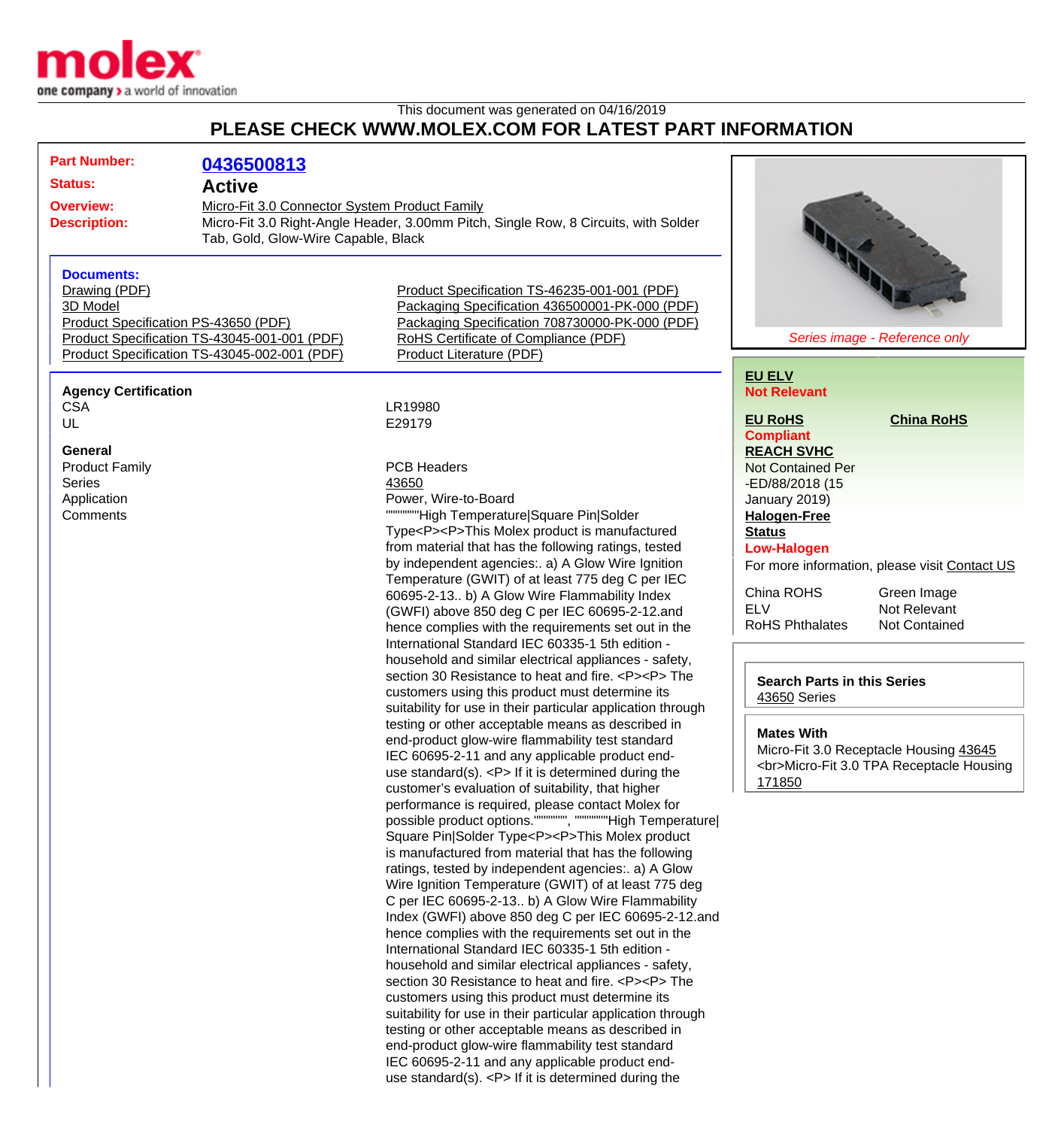

## This document was generated on 04/16/2019 **PLEASE CHECK WWW.MOLEX.COM FOR LATEST PART INFORMATION**

| <b>Part Number:</b>                                                                          | 0436500813                                                                                                                           |                                                                                                                         |                                                    |                                               |
|----------------------------------------------------------------------------------------------|--------------------------------------------------------------------------------------------------------------------------------------|-------------------------------------------------------------------------------------------------------------------------|----------------------------------------------------|-----------------------------------------------|
| <b>Status:</b>                                                                               | <b>Active</b>                                                                                                                        |                                                                                                                         |                                                    |                                               |
| <b>Overview:</b>                                                                             |                                                                                                                                      |                                                                                                                         |                                                    |                                               |
|                                                                                              | Micro-Fit 3.0 Connector System Product Family<br>Micro-Fit 3.0 Right-Angle Header, 3.00mm Pitch, Single Row, 8 Circuits, with Solder |                                                                                                                         |                                                    |                                               |
| <b>Description:</b><br>Tab, Gold, Glow-Wire Capable, Black                                   |                                                                                                                                      |                                                                                                                         |                                                    |                                               |
|                                                                                              |                                                                                                                                      |                                                                                                                         |                                                    |                                               |
|                                                                                              |                                                                                                                                      |                                                                                                                         |                                                    |                                               |
| <b>Documents:</b>                                                                            |                                                                                                                                      |                                                                                                                         |                                                    |                                               |
| Drawing (PDF)                                                                                |                                                                                                                                      | Product Specification TS-46235-001-001 (PDF)                                                                            |                                                    |                                               |
| 3D Model                                                                                     |                                                                                                                                      | Packaging Specification 436500001-PK-000 (PDF)                                                                          |                                                    |                                               |
| Product Specification PS-43650 (PDF)                                                         |                                                                                                                                      | Packaging Specification 708730000-PK-000 (PDF)<br>RoHS Certificate of Compliance (PDF)<br>Series image - Reference only |                                                    |                                               |
| Product Specification TS-43045-001-001 (PDF)<br>Product Specification TS-43045-002-001 (PDF) |                                                                                                                                      | Product Literature (PDF)                                                                                                |                                                    |                                               |
|                                                                                              |                                                                                                                                      |                                                                                                                         |                                                    |                                               |
|                                                                                              |                                                                                                                                      |                                                                                                                         | <b>EU ELV</b>                                      |                                               |
| <b>Agency Certification</b>                                                                  |                                                                                                                                      |                                                                                                                         | <b>Not Relevant</b>                                |                                               |
| <b>CSA</b>                                                                                   |                                                                                                                                      | LR19980                                                                                                                 | <b>EU RoHS</b>                                     |                                               |
| UL                                                                                           |                                                                                                                                      | E29179                                                                                                                  |                                                    | <b>China RoHS</b>                             |
| <b>General</b>                                                                               |                                                                                                                                      |                                                                                                                         | <b>Compliant</b>                                   |                                               |
|                                                                                              |                                                                                                                                      | <b>PCB Headers</b>                                                                                                      | <b>REACH SVHC</b>                                  |                                               |
| <b>Product Family</b>                                                                        |                                                                                                                                      |                                                                                                                         | <b>Not Contained Per</b>                           |                                               |
| <b>Series</b>                                                                                |                                                                                                                                      | 43650                                                                                                                   | -ED/88/2018 (15                                    |                                               |
| Application                                                                                  |                                                                                                                                      | Power, Wire-to-Board                                                                                                    | January 2019)                                      |                                               |
| Comments                                                                                     |                                                                                                                                      | """"""High Temperature Square Pin Solder                                                                                | <b>Halogen-Free</b>                                |                                               |
|                                                                                              |                                                                                                                                      | Type <p><p>This Molex product is manufactured</p></p>                                                                   | <b>Status</b>                                      |                                               |
|                                                                                              |                                                                                                                                      | from material that has the following ratings, tested                                                                    | <b>Low-Halogen</b>                                 |                                               |
|                                                                                              |                                                                                                                                      | by independent agencies:. a) A Glow Wire Ignition                                                                       |                                                    | For more information, please visit Contact US |
|                                                                                              |                                                                                                                                      | Temperature (GWIT) of at least 775 deg C per IEC                                                                        | China ROHS                                         |                                               |
|                                                                                              |                                                                                                                                      | 60695-2-13 b) A Glow Wire Flammability Index                                                                            | <b>ELV</b>                                         | Green Image<br>Not Relevant                   |
|                                                                                              |                                                                                                                                      | (GWFI) above 850 deg C per IEC 60695-2-12.and                                                                           |                                                    |                                               |
|                                                                                              |                                                                                                                                      | hence complies with the requirements set out in the                                                                     | <b>RoHS Phthalates</b>                             | Not Contained                                 |
|                                                                                              |                                                                                                                                      | International Standard IEC 60335-1 5th edition -                                                                        |                                                    |                                               |
|                                                                                              |                                                                                                                                      | household and similar electrical appliances - safety,                                                                   |                                                    |                                               |
|                                                                                              |                                                                                                                                      | section 30 Resistance to heat and fire. <p><p>The</p></p>                                                               | <b>Search Parts in this Series</b><br>43650 Series |                                               |
|                                                                                              |                                                                                                                                      | customers using this product must determine its                                                                         |                                                    |                                               |
|                                                                                              |                                                                                                                                      | suitability for use in their particular application through                                                             |                                                    |                                               |
|                                                                                              |                                                                                                                                      | testing or other acceptable means as described in                                                                       | <b>Mates With</b>                                  |                                               |
|                                                                                              |                                                                                                                                      | end-product glow-wire flammability test standard                                                                        |                                                    | Micro-Fit 3.0 Receptacle Housing 43645        |
|                                                                                              |                                                                                                                                      | IEC 60695-2-11 and any applicable product end-                                                                          |                                                    | <br>Micro-Fit 3.0 TPA Receptacle Housing      |
|                                                                                              |                                                                                                                                      | use standard(s). $<$ P $>$ If it is determined during the                                                               | 171850                                             |                                               |
|                                                                                              |                                                                                                                                      | customer's evaluation of suitability, that higher                                                                       |                                                    |                                               |
|                                                                                              |                                                                                                                                      | performance is required, please contact Molex for                                                                       |                                                    |                                               |
|                                                                                              |                                                                                                                                      | possible product options.""""""", """""""High Temperature                                                               |                                                    |                                               |
|                                                                                              |                                                                                                                                      | Square Pin Solder Type <p><p>This Molex product</p></p>                                                                 |                                                    |                                               |
|                                                                                              |                                                                                                                                      | is manufactured from material that has the following                                                                    |                                                    |                                               |
|                                                                                              |                                                                                                                                      | ratings, tested by independent agencies:. a) A Glow                                                                     |                                                    |                                               |
|                                                                                              |                                                                                                                                      | Wire Ignition Temperature (GWIT) of at least 775 deg                                                                    |                                                    |                                               |
|                                                                                              |                                                                                                                                      | C per IEC 60695-2-13 b) A Glow Wire Flammability                                                                        |                                                    |                                               |
|                                                                                              |                                                                                                                                      | Index (GWFI) above 850 deg C per IEC 60695-2-12.and                                                                     |                                                    |                                               |
|                                                                                              |                                                                                                                                      | hence complies with the requirements set out in the                                                                     |                                                    |                                               |
|                                                                                              |                                                                                                                                      | International Standard IEC 60335-1 5th edition -                                                                        |                                                    |                                               |
|                                                                                              |                                                                                                                                      | household and similar electrical appliances - safety,                                                                   |                                                    |                                               |
|                                                                                              |                                                                                                                                      | section 30 Resistance to heat and fire. <p><p>The</p></p>                                                               |                                                    |                                               |
|                                                                                              |                                                                                                                                      | customers using this product must determine its                                                                         |                                                    |                                               |
|                                                                                              |                                                                                                                                      | suitability for use in their particular application through                                                             |                                                    |                                               |
|                                                                                              |                                                                                                                                      | testing or other acceptable means as described in                                                                       |                                                    |                                               |
|                                                                                              |                                                                                                                                      | end-product glow-wire flammability test standard                                                                        |                                                    |                                               |
|                                                                                              |                                                                                                                                      | IEC 60695-2-11 and any applicable product end-                                                                          |                                                    |                                               |
|                                                                                              |                                                                                                                                      | use standard(s). $< P$ If it is determined during the                                                                   |                                                    |                                               |
|                                                                                              |                                                                                                                                      |                                                                                                                         |                                                    |                                               |